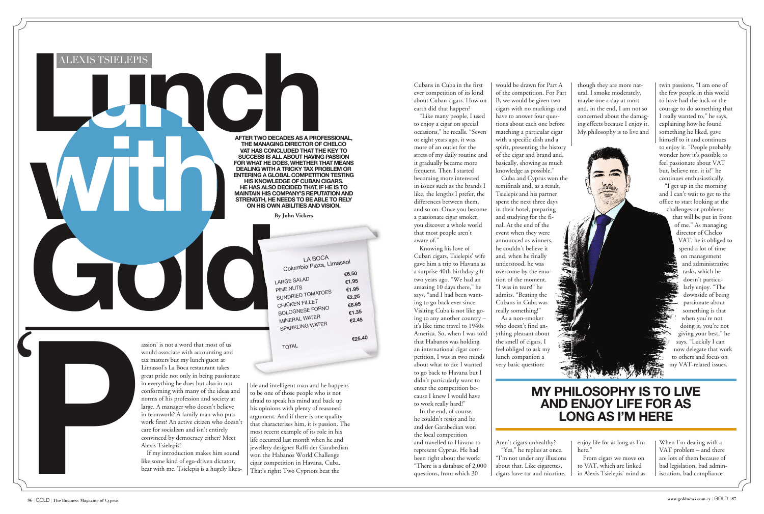would associate with accounting and tax matters but my lunch guest at Limassol's La Boca restaurant takes great pride not only in being passionate in everything he does but also in not conforming with many of the ideas and norms of his profession and society at large. A manager who doesn't believe in teamwork? A family man who puts work first? An active citizen who doesn't care for socialism and isn't entirely convinced by democracy either? Meet Alexis Tsielepis! competition in Havana, Cuba. Beat the statement that is the statement of the discussion and society at the competition in Havana Cuba. The mean of the statement of the discussion of the discussion of the statement of the s

If my introduction makes him sound like some kind of ego-driven dictator, bear with me. Tsielepis is a hugely likeable and intelligent man and he happens to be one of those people who is not afraid to speak his mind and back up his opinions with plenty of reasoned argument. And if there is one quality that characterises him, it is passion. The most recent example of its role in his life occurred last month when he and jewellery designer Raffi der Garabedian won the Habanos World Challenge

Columbia Plaza, LImasso<sup>l</sup> LARGE SALAD **€6.50** PINE NUTS **€1.95** PINE NUTS<br>SUNDRIED TOMATOES **€1.95**<br>E2.25 SUNDRIED TOMATOLO **€2.25**<br>CHICKEN FILLET **€8.95** BOLOGNESE FORNO **€8.95** MINERAL WATER **€1.35**

TOTAL

**€25.40**

## **My philosophy is to live and enjoy life for as long as I'm here**

Cubans in Cuba in the first ever competition of its kind about Cuban cigars. How on earth did that happen?

"Like many people, I used to enjoy a cigar on special occasions," he recalls. "Seven or eight years ago, it was more of an outlet for the stress of my daily routine and it gradually became more frequent. Then I started becoming more interested in issues such as the brands I like, the lengths I prefer, the differences between them, and so on. Once you become a passionate cigar smoker, you discover a whole world that most people aren't aware of."

Knowing his love of Cuban cigars, Tsielepis' wife gave him a trip to Havana as a surprise 40th birthday gift two years ago. "We had an amazing 10 days there," he says, "and I had been wanting to go back ever since. Visiting Cuba is not like going to any another country – it's like time travel to 1940s America. So, when I was told that Habanos was holding an international cigar competition, I was in two minds about what to do: I wanted to go back to Havana but I didn't particularly want to enter the competition because I knew I would have to work really hard!"



In the end, of course, he couldn't resist and he and der Garabedian won the local competition and travelled to Havana to represent Cyprus. He had been right about the work: "There is a database of 2,000 questions, from which 30

would be drawn for Part A of the competition. For Part B, we would be given two cigars with no markings and have to answer four questions about each one before matching a particular cigar with a specific dish and a spirit, presenting the history of the cigar and brand and, basically, showing as much knowledge as possible."

Cuba and Cyprus won the semifinals and, as a result, Tsielepis and his partner spent the next three days in their hotel, preparing and studying for the final. At the end of the event when they were announced as winners, he couldn't believe it and, when he finally understood, he was overcome by the emotion of the moment. "I was in tears!" he admits. "Beating the Cubans in Cuba was really something!"

As a non-smoker who doesn't find anything pleasant about the smell of cigars, I feel obliged to ask my lunch companion a very basic question:

Aren't cigars unhealthy? "Yes," he replies at once. "I'm not under any illusions about that. Like cigarettes, cigars have tar and nicotine,

though they are more natural. I smoke moderately, maybe one a day at most and, in the end, I am not so concerned about the damaging effects because I enjoy it. My philosophy is to live and

enjoy life for as long as I'm here."

From cigars we move on to VAT, which are linked in Alexis Tsielepis' mind as

twin passions. "I am one of the few people in this world to have had the luck or the courage to do something that I really wanted to," he says, explaining how he found something he liked, gave himself to it and continues to enjoy it. "People probably wonder how it's possible to feel passionate about VAT but, believe me, it is!" he continues enthusiastically.

"I get up in the morning and I can't wait to get to the office to start looking at the

challenges or problems that will be put in front of me." As managing director of Chelco VAT, he is obliged to spend a lot of time on management and administrative tasks, which he doesn't particularly enjoy. "The downside of being passionate about something is that when you're not doing it, you're not giving your best," he says. "Luckily I can now delegate that work to others and focus on my VAT-related issues.

When I'm dealing with a VAT problem – and there are lots of them because of bad legislation, bad administration, bad compliance